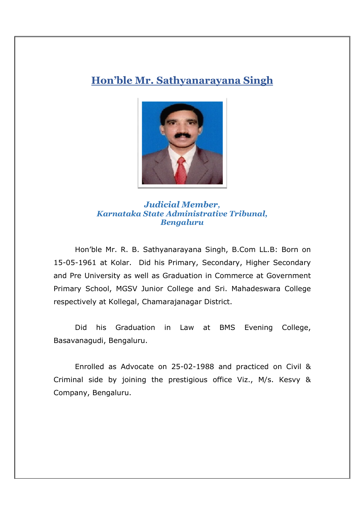## **Hon'ble Mr. Sathyanarayana Singh**



## *Judicial Member, Karnataka State Administrative Tribunal, Bengaluru*

 Hon'ble Mr. R. B. Sathyanarayana Singh, B.Com LL.B: Born on 15-05-1961 at Kolar. Did his Primary, Secondary, Higher Secondary and Pre University as well as Graduation in Commerce at Government Primary School, MGSV Junior College and Sri. Mahadeswara College respectively at Kollegal, Chamarajanagar District.

 Did his Graduation in Law at BMS Evening College, Basavanagudi, Bengaluru.

 Enrolled as Advocate on 25-02-1988 and practiced on Civil & Criminal side by joining the prestigious office Viz., M/s. Kesvy & Company, Bengaluru.